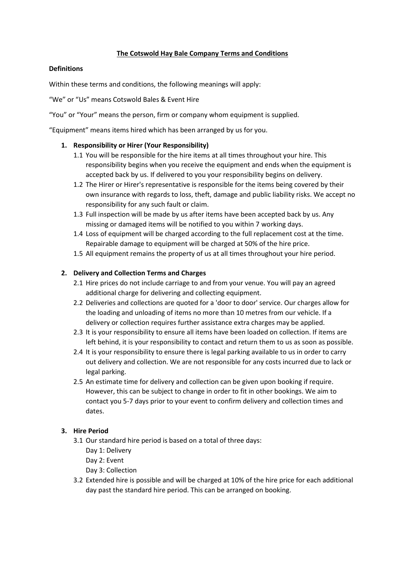# **The Cotswold Hay Bale Company Terms and Conditions**

#### **Definitions**

Within these terms and conditions, the following meanings will apply:

"We" or "Us" means Cotswold Bales & Event Hire

"You" or "Your" means the person, firm or company whom equipment is supplied.

"Equipment" means items hired which has been arranged by us for you.

#### **1. Responsibility or Hirer (Your Responsibility)**

- 1.1 You will be responsible for the hire items at all times throughout your hire. This responsibility begins when you receive the equipment and ends when the equipment is accepted back by us. If delivered to you your responsibility begins on delivery.
- 1.2 The Hirer or Hirer's representative is responsible for the items being covered by their own insurance with regards to loss, theft, damage and public liability risks. We accept no responsibility for any such fault or claim.
- 1.3 Full inspection will be made by us after items have been accepted back by us. Any missing or damaged items will be notified to you within 7 working days.
- 1.4 Loss of equipment will be charged according to the full replacement cost at the time. Repairable damage to equipment will be charged at 50% of the hire price.
- 1.5 All equipment remains the property of us at all times throughout your hire period.

# **2. Delivery and Collection Terms and Charges**

- 2.1 Hire prices do not include carriage to and from your venue. You will pay an agreed additional charge for delivering and collecting equipment.
- 2.2 Deliveries and collections are quoted for a 'door to door' service. Our charges allow for the loading and unloading of items no more than 10 metres from our vehicle. If a delivery or collection requires further assistance extra charges may be applied.
- 2.3 It is your responsibility to ensure all items have been loaded on collection. If items are left behind, it is your responsibility to contact and return them to us as soon as possible.
- 2.4 It is your responsibility to ensure there is legal parking available to us in order to carry out delivery and collection. We are not responsible for any costs incurred due to lack or legal parking.
- 2.5 An estimate time for delivery and collection can be given upon booking if require. However, this can be subject to change in order to fit in other bookings. We aim to contact you 5-7 days prior to your event to confirm delivery and collection times and dates.

# **3. Hire Period**

- 3.1 Our standard hire period is based on a total of three days:
	- Day 1: Delivery

Day 2: Event

Day 3: Collection

3.2 Extended hire is possible and will be charged at 10% of the hire price for each additional day past the standard hire period. This can be arranged on booking.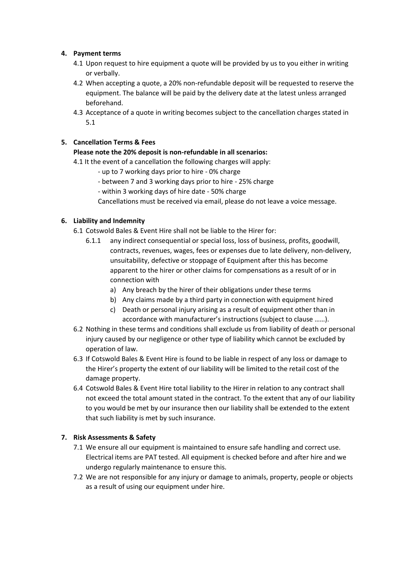### **4. Payment terms**

- 4.1 Upon request to hire equipment a quote will be provided by us to you either in writing or verbally.
- 4.2 When accepting a quote, a 20% non-refundable deposit will be requested to reserve the equipment. The balance will be paid by the delivery date at the latest unless arranged beforehand.
- 4.3 Acceptance of a quote in writing becomes subject to the cancellation charges stated in 5.1

# **5. Cancellation Terms & Fees**

# **Please note the 20% deposit is non-refundable in all scenarios:**

4.1 It the event of a cancellation the following charges will apply:

- up to 7 working days prior to hire 0% charge
- between 7 and 3 working days prior to hire 25% charge
- within 3 working days of hire date 50% charge

Cancellations must be received via email, please do not leave a voice message.

#### **6. Liability and Indemnity**

- 6.1 Cotswold Bales & Event Hire shall not be liable to the Hirer for:
	- 6.1.1 any indirect consequential or special loss, loss of business, profits, goodwill, contracts, revenues, wages, fees or expenses due to late delivery, non-delivery, unsuitability, defective or stoppage of Equipment after this has become apparent to the hirer or other claims for compensations as a result of or in connection with
		- a) Any breach by the hirer of their obligations under these terms
		- b) Any claims made by a third party in connection with equipment hired
		- c) Death or personal injury arising as a result of equipment other than in accordance with manufacturer's instructions (subject to clause ……).
- 6.2 Nothing in these terms and conditions shall exclude us from liability of death or personal injury caused by our negligence or other type of liability which cannot be excluded by operation of law.
- 6.3 If Cotswold Bales & Event Hire is found to be liable in respect of any loss or damage to the Hirer's property the extent of our liability will be limited to the retail cost of the damage property.
- 6.4 Cotswold Bales & Event Hire total liability to the Hirer in relation to any contract shall not exceed the total amount stated in the contract. To the extent that any of our liability to you would be met by our insurance then our liability shall be extended to the extent that such liability is met by such insurance.

# **7. Risk Assessments & Safety**

- 7.1 We ensure all our equipment is maintained to ensure safe handling and correct use. Electrical items are PAT tested. All equipment is checked before and after hire and we undergo regularly maintenance to ensure this.
- 7.2 We are not responsible for any injury or damage to animals, property, people or objects as a result of using our equipment under hire.